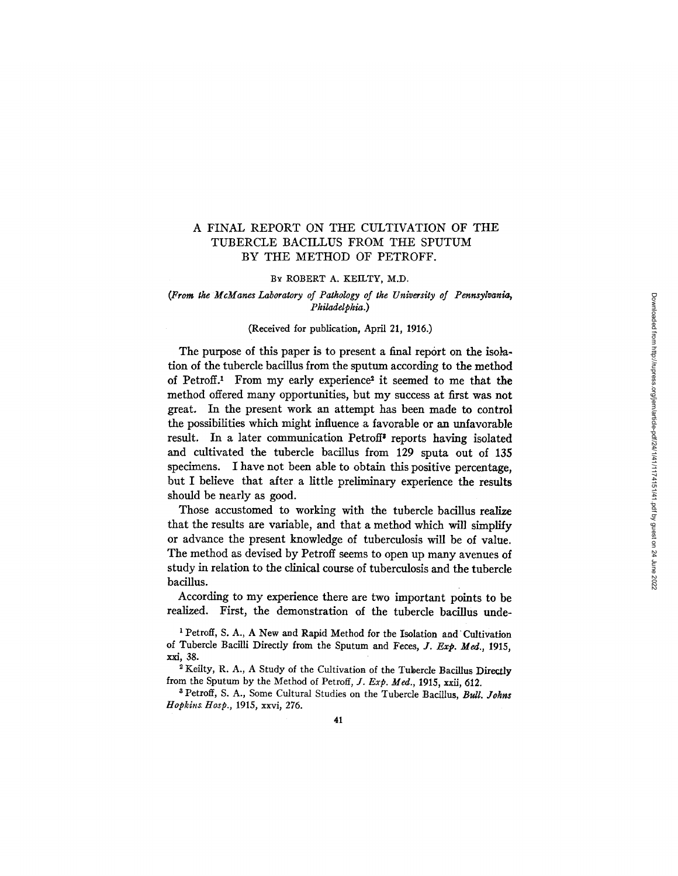# A FINAL REPORT ON THE CULTIVATION OF THE TUBERCLE BACILLUS FROM THE SPUTUM BY THE METHOD OF PETROFF.

## BY ROBERT A. KEILTY, M.D.

## *(From the McManes Laboratory of Pathology of the University of Pennsylvania, Philadelphia.)*

## (Received for publication, April 21, 1916.)

The purpose of this paper is to present a final report on the isolation of the tubercle bacillus from the sputum according to the method of Petroff.1 From my early experience <sup>2</sup> it seemed to me that the method offered many opportunities, but my success at first was not great. In the present work an attempt has been made to control the possibilities which might influence a favorable or an unfavorable result. In a later communication Petroff' reports having isolated and cultivated the tubercle bacillus from 129 sputa out of 135 specimens. I have not been able to obtain this positive percentage, but I believe that after a little preliminary experience the results should be nearly as good.

Those accustomed to working with the tubercle bacillus realize that the results are variable, and that a method which will simplify or advance the present knowledge of tuberculosis will be of value. The method as devised by Petroff seems to open up many avenues of study in relation to the clinical course of tuberculosis and the tubercle bacillus.

According to my experience there are two important points to be realized. First, the demonstration of the tubercle bacillus unde-

'Petroff, S. A., A New and Rapid Method for the Isolation and Cultivation of Tubercle Bacilli Directly from the Sputum and Feces, *J. Exp. Med.,* 1915, xxi, 38.

<sup>2</sup> Keilty, R. A., A Study of the Cultivation of the Tubercle Bacillus Directly from the Sputum by the Method of Petroff, *J. Exp. Med.,* 1915, xxii, 612.

3 Petroff, S. A., Some Cultural Studies on the Tubercle Bacillus, *Bull. Johns Hopkins. Hosp.,* 1915, xxvi, 276.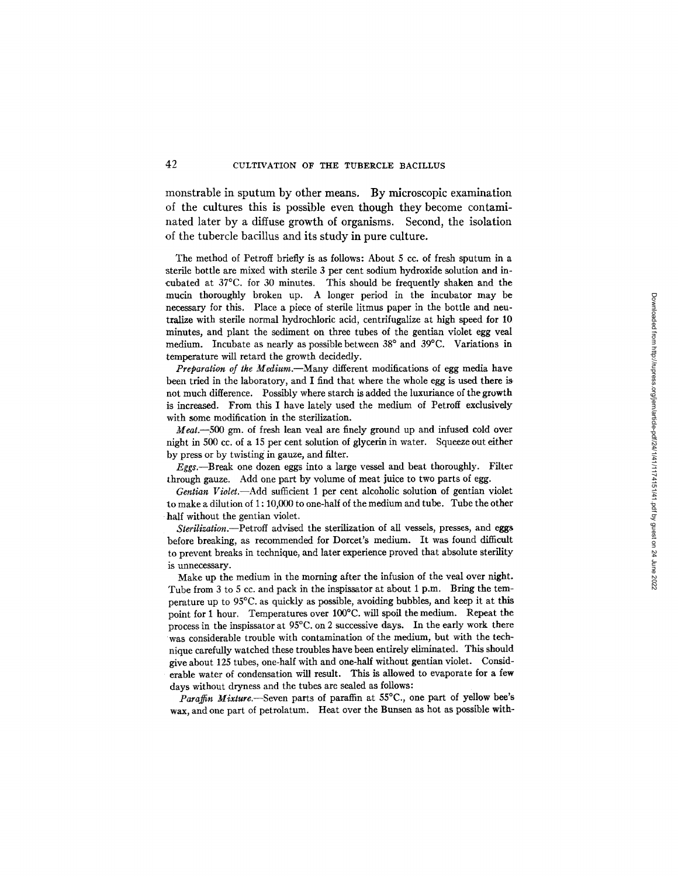monstrable in sputum by other means. By microscopic examination of the cultures this is possible even though they become contaminated later by a diffuse growth of organisms. Second, the isolation of the tubercle bacillus and its study in pure culture.

The method of Petroff briefly is as follows: About 5 cc. of fresh sputum in a sterile bottle are mixed with sterile 3 per cent sodium hydroxide solution and incubated at 37C. for 30 minutes. This should be frequently shaken and the mucin thoroughly broken up. A longer period in the incubator may be necessary for this. Place a piece of sterile litmus paper in the bottle and neutralize with sterile normal hydrochloric acid, centrifugalize at high speed for 10 minutes, and plant the sediment on three tubes of the gentian violet egg veal medium. Incubate as nearly as possible between  $38^{\circ}$  and  $39^{\circ}$ C. Variations in temperature will retard the growth decidedly.

*Preparation of the Medium.-Many* different modifications of egg media have been tried in the laboratory, and I find that where the whole egg is used there is not much difference. Possibly where starch is added the luxuriance of the growth is increased. From this I have lately used the medium of Petroff exclusively with some modification in the sterilization.

*Meat.-500* gm. of fresh lean veal are finely ground up and infused cold over night in 500 cc. of a 15 per cent solution of glycerin in water. Squeeze out either by press or by twisting in gauze, and filter.

*Eggs.-Break* one dozen eggs into a large vessel and beat thoroughly. Filter through gauze. Add one part by volume of meat juice to two parts of egg.

*Gentian Violet.-Add* sufficient 1 per cent alcoholic solution of gentian violet to make a dilution of 1: 10,000 to one-half of the medium and tube. Tube the other half without the gentian violet.

*Sterilization.-Petroff* advised the sterilization of all vessels, presses, and eggs before breaking, as recommended for Dorcet's medium. It was found difficult to prevent breaks in technique, and later experience proved that absolute sterility is unnecessary.

Make up the medium in the morning after the infusion of the veal over night. Tube from 3 to 5 cc. and pack in the inspissator at about 1 p.m. Bring the temperature up to 95C. as quickly as possible, avoiding bubbles, and keep it at this point for 1 hour. Temperatures over 100°C. will spoil the medium. Repeat the process in the inspissator at 95C. on 2 successive days. In the early work there was considerable trouble with contamination of the medium, but with the technique carefully watched these troubles have been entirely eliminated. This should give about 125 tubes, one-half with and one-half without gentian violet. Considerable water of condensation will result. This is allowed to evaporate for a few days without dryness and the tubes are sealed as follows:

Paraffin Mixture.—Seven parts of paraffin at 55°C., one part of yellow bee's wax, and one part of petrolatum. Heat over the Bunsen as hot as possible with-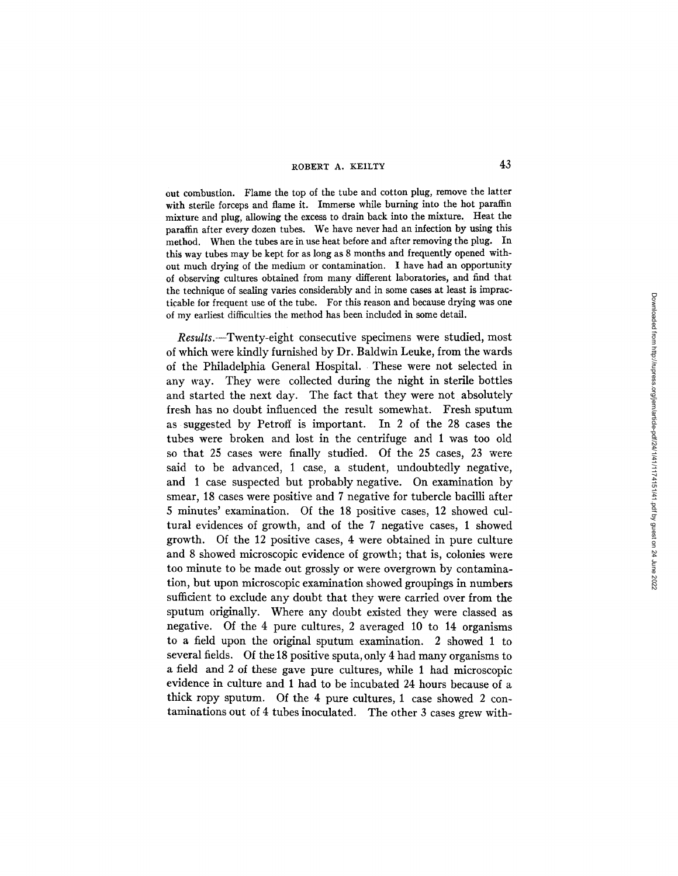#### ROBERT A. KEILTY

out combustion. Flame the top of the tube and cotton plug, remove the latter with sterile forceps and flame it. Immerse while burning into the hot paraffin mixture and plug, allowing the excess to drain back into the mixture. Heat the paraffin after every dozen tubes. We have never had an infection by using this method. When the tubes are in use heat before and after removing the plug. In this way tubes may be kept for as long as 8 months and frequently opened without much drying of the medium or contamination. I have had an opportunity of observing cultures obtained from many different laboratories, and find that the technique of sealing varies considerably and in some cases at least is impracticable for frequent use of the tube. For this reason and because drying was one of my earliest difficulties the method has been included in some detail.

*Results.--Twenty-eight* consecutive specimens were studied, most of which were kindly furnished by Dr. Baldwin Leuke, from the wards of the Philadelphia General Hospital. These were not selected in any way. They were collected during the night in sterile bottles and started the next day. The fact that they were not absolutely fresh has no doubt influenced the result somewhat. Fresh sputum as suggested by Petroff is important. In 2 of the 28 cases the tubes were broken and lost in the centrifuge and 1 was too old so that 25 cases were finally studied. Of the 25 cases, 23 were said to be advanced, 1 case, a student, undoubtedly negative, and 1 case suspected but probably negative. On examination by smear, 18 cases were positive and 7 negative for tubercle bacilli after 5 minutes' examination. Of the 18 positive cases, 12 showed cultural evidences of growth, and of the 7 negative cases, 1 showed growth. Of the 12 positive cases, 4 were obtained in pure culture and 8 showed microscopic evidence of growth; that is, colonies were too minute to be made out grossly or were overgrown by contamination, but upon microscopic examination showed groupings in numbers sufficient to exclude any doubt that they were carried over from the sputum originally. Where any doubt existed they were classed as negative. Of the 4 pure cultures, 2 averaged 10 to 14 organisms to a field upon the original sputum examination. 2 showed 1 to several fields. Of the 18 positive sputa, only 4 had many organisms to a field and 2 of these gave pure cultures, while 1 had microscopic evidence in culture and 1 had to be incubated 24 hours because of a thick ropy sputum. Of the 4 pure cultures, 1 case showed 2 contaminations out of 4 tubes inoculated. The other 3 cases grew with-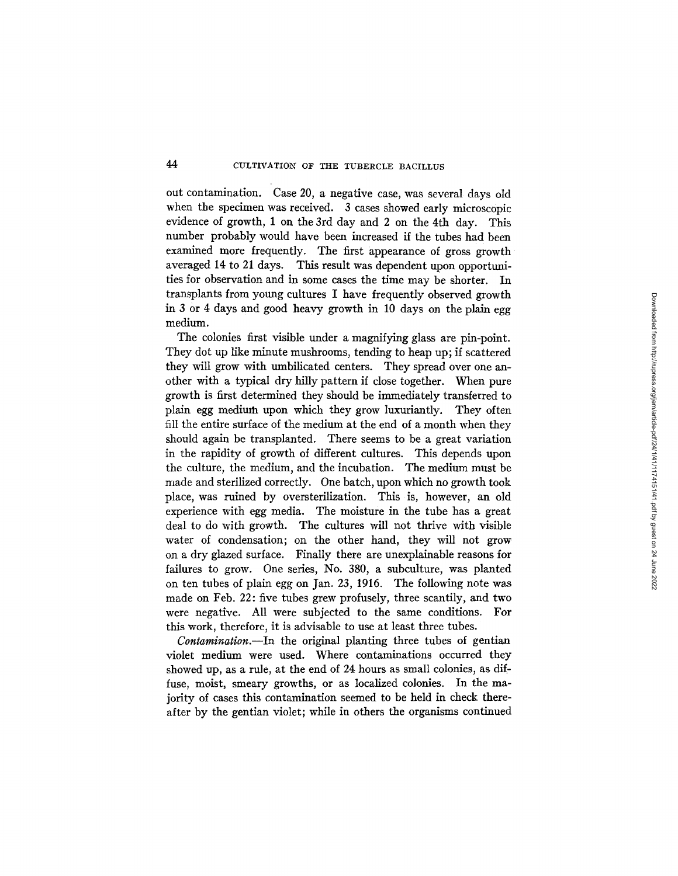out contamination. Case 20, a negative case, was several days old when the specimen was received. 3 cases showed early microscopic evidence of growth, 1 on the 3rd day and 2 on the 4th day. This number probably would have been increased if the tubes had been examined more frequently. The first appearance of gross growth averaged 14 to 21 days. This result was dependent upon opportunities for observation and in some cases the time may be shorter. In transplants from young cultures I have frequently observed growth in 3 or 4 days and good heavy growth in 10 days on the plain egg medium.

The colonies first visible under a magnifying glass are pin-point. They dot up like minute mushrooms, tending to heap up; if scattered they will grow with umbilicated centers. They spread over one another with a typical dry hilly pattern if close together. When pure growth is first determined they should be immediately transferred to plain egg medium upon which they grow luxuriantly. They often fill the entire surface of the medium at the end of a month when they should again be transplanted. There seems to be a great variation in the rapidity of growth of different cultures. This depends upon the culture, the medium, and the incubation. The medium must be made and sterilized correctly. One batch, upon which no growth took place, was ruined by oversterilization. This is, however, an old experience with egg media. The moisture in the tube has a great deal to do with growth. The cultures will not thrive with visible water of condensation; on the other hand, they will not grow on a dry glazed surface. Finally there are unexplainable reasons for failures to grow. One series, No. 380, a subculture, was planted on ten tubes of plain egg on Jan. 23, 1916. The following note was made on Feb. 22: five tubes grew profusely, three scantily, and two were negative. All were subjected to the same conditions. For this work, therefore, it is advisable to use at least three tubes.

*Contamination.-In* the original planting three tubes of gentian violet medium were used. Where contaminations occurred they showed up, as a rule, at the end of 24 hours as small colonies, as diffuse, moist, smeary growths, or as localized colonies. In the majority of cases this contamination seemed to be held in check thereafter by the gentian violet; while in others the organisms continued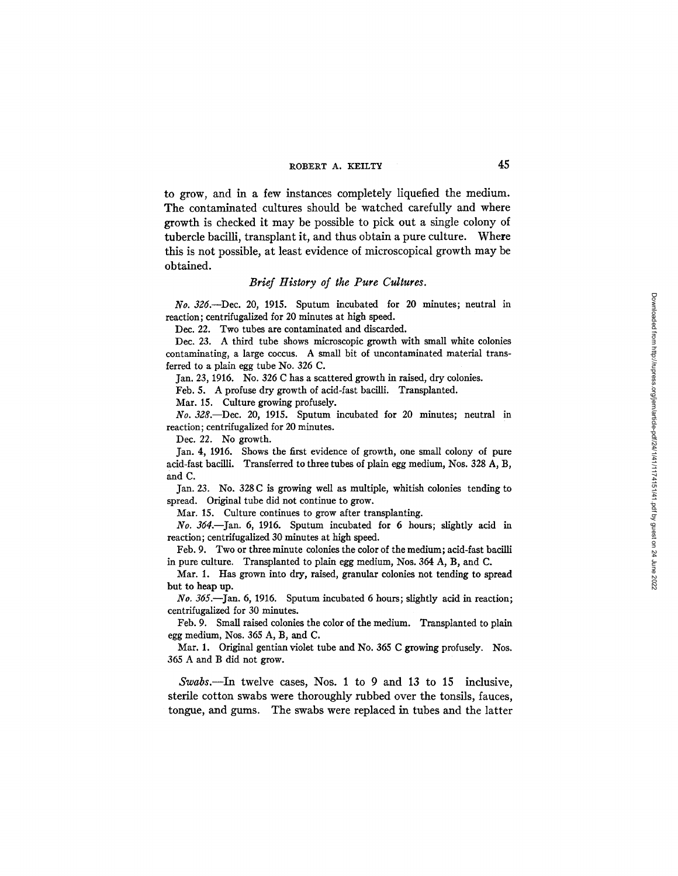to grow, and in a few instances completely liquefied the medium. The contaminated cultures should be watched carefully and where growth is checked it may be possible to pick out a single colony of tubercle bacilli, transplant it, and thus obtain a pure culture. Where this is not possible, at least evidence of microscopical growth may be obtained.

## *Brief History of the Pure Cultures.*

*No. 326.-Dec.* 20, 1915. Sputum incubated for 20 minutes; neutral in reaction; centrifugalized for 20 minutes at high speed.

Dec. 22. Two tubes are contaminated and discarded.

Dec. 23. A third tube shows microscopic growth with small white colonies contaminating, a large coccus. A small bit of uncontaminated material transferred to a plain egg tube No. 326 C.

Jan. 23, 1916. No. 326 C has a scattered growth in raised, dry colonies.

Feb. 5. A profuse dry growth of acid-fast bacilli. Transplanted.

Mar. 15. Culture growing profusely.

*No. 328.-Dec.* 20, 1915. Sputum incubated for 20 minutes; neutral in reaction; centrifugalized for 20 minutes.

Dec. 22. No growth.

Jan. 4, 1916. Shows the first evidence of growth, one small colony of pure acid-fast bacilli. Transferred to three tubes of plain egg medium, Nos. 328 A, B, and C.

Jan. 23. No. 328 C is growing well as multiple, whitish colonies tending to spread. Original tube did not continue to grow.

Mar. 15. Culture continues to grow after transplanting.

*No. 364.-Jan.* 6, 1916. Sputum incubated for 6 hours; slightly acid in reaction; centrifugalized 30 minutes at high speed.

Feb. 9. Two or three minute colonies the color of the medium; acid-fast bacilli in pure culture. Transplanted to plain egg medium, Nos. 364 A, B, and C.

Mar. 1. Has grown into dry, raised, granular colonies not tending to spread but to heap up.

*No. 365.-Jan.* 6, 1916. Sputum incubated 6 hours; slightly acid in reaction; centrifugalized for 30 minutes.

Feb. 9. Small raised colonies the color of the medium. Transplanted to plain egg medium, Nos. 365 A, B, and C.

Mar. 1. Original gentian violet tube and No. 365 C growing profusely. Nos. 365 A and B did not grow.

*Swabs.-In* twelve cases, Nos. 1 to 9 and 13 to 15 inclusive, sterile cotton swabs were thoroughly rubbed over the tonsils, fauces, tongue, and gums. The swabs were replaced in tubes and the latter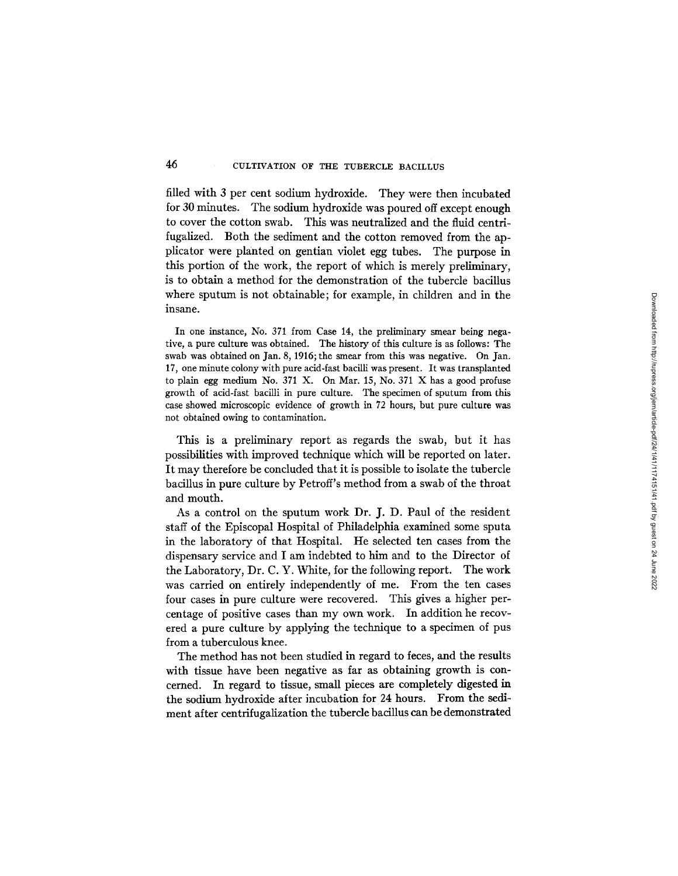filled with 3 per cent sodium hydroxide. They were then incubated for 30 minutes. The sodium hydroxide was poured off except enough to cover the cotton swab. This was neutralized and the fluid centrifugalized. Both the sediment and the cotton removed from the applicator were planted on gentian violet egg tubes. The purpose in this portion of the work, the report of which is merely preliminary, is to obtain a method for the demonstration of the tubercle bacillus where sputum is not obtainable; for example, in children and in the insane.

In one instance, No. 371 from Case 14, the preliminary smear being negative, a pure culture was obtained. The history of this culture is as follows: The swab was obtained on Jan. 8, 1916; the smear from this was negative. On Jan. 17, one minute colony with pure acid-fast bacilli was present. It was transplanted to plain egg medium No. 371 X. On Mar. 15, No. 371 X has a good profuse growth of acid-fast bacilli in pure culture. The specimen of sputum from this case showed microscopic evidence of growth in 72 hours, but pure culture was not obtained owing to contamination.

This is a preliminary report as regards the swab, but it has possibilities with improved technique which will be reported on later. It may therefore be concluded that it is possible to isolate the tubercle bacillus in pure culture by Petroff's method from a swab of the throat and mouth.

As a control on the sputum work Dr. J. D. Paul of the resident staff of the Episcopal Hospital of Philadelphia examined some sputa in the laboratory of that Hospital. He selected ten cases from the dispensary service and I am indebted to him and to the Director of the Laboratory, Dr. C. Y. White, for the following report. The work was carried on entirely independently of me. From the ten cases four cases in pure culture were recovered. This gives a higher percentage of positive cases than my own work. In addition he recovered a pure culture by applying the technique to a specimen of pus from a tuberculous knee.

The method has not been studied in regard to feces, and the results with tissue have been negative as far as obtaining growth is concerned. In regard to tissue, small pieces are completely digested in the sodium hydroxide after incubation for 24 hours. From the sediment after centrifugalization the tubercle bacillus can be demonstrated

46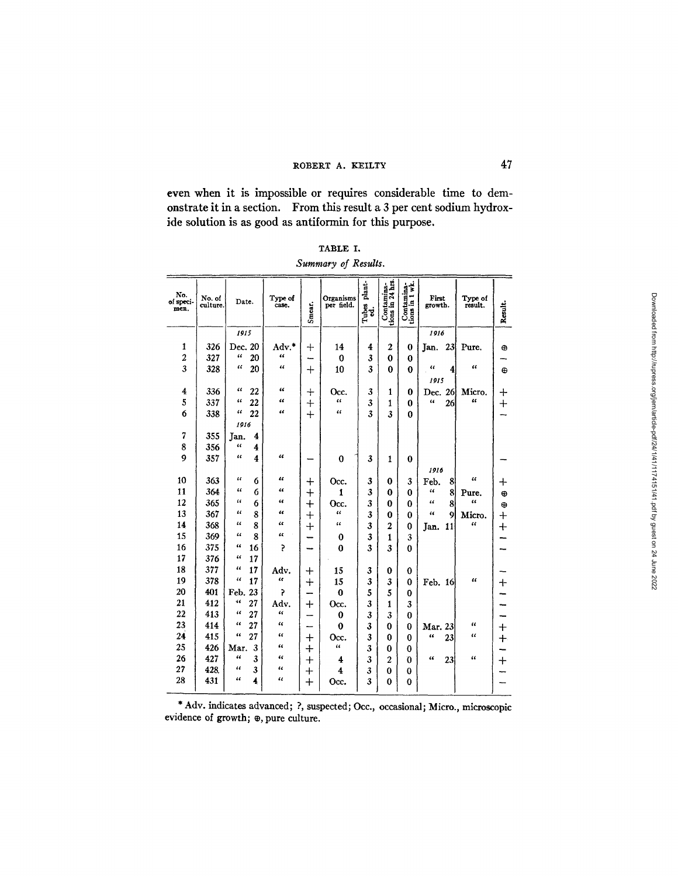# ROBERT A. KEILTY 47

even when it is impossible or requires considerable time to demonstrate it in a section. From this result a 3 per cent sodium hydroxide solution is as good as antiformin for this purpose.

|                     | TABLE I. |  |
|---------------------|----------|--|
| Summary of Results. |          |  |

| Contamina-<br>tions in 24 hrs.<br>plant-<br>Contamina-<br>tions in 1 wk.<br>No.<br>Organisms<br>First<br>No. of<br>Type of<br>Type of<br>of speci-<br>Date.<br>Result.<br>per field.<br>culture.<br>case.<br>Smear.<br>growth.<br>result.<br>Tubes<br>cd.<br>men.<br>1915<br>1916<br>1<br>326<br>Adv.*<br>Dec. 20<br>14<br>$\boldsymbol{2}$<br>4<br>23<br>Pure.<br>┿<br>0<br>Jan.<br>⊕<br>œ<br>$\overline{\mathbf{c}}$<br>46<br>327<br>20<br>3<br>$\bf{0}$<br>$\bf{0}$<br>$\bf{0}$<br>-<br>3<br>$\epsilon$<br>44<br>66<br>328<br>20<br>3<br>ш<br>10<br>0<br>$\bf{0}$<br>$\mathrm{+}$<br>4<br>Φ<br>1915<br>$\epsilon$<br>$\epsilon$<br>$\overline{\mathbf{4}}$<br>336<br>22<br>3<br>Micro.<br>1<br>0<br>Dec. 26<br>┿<br>Occ.<br>┾<br>5<br>$\epsilon$<br>$\epsilon$<br>337<br>$\epsilon$<br>"<br>22<br>3<br>$\epsilon$<br>26<br>$\mathrm{+}$<br>1<br>0<br>$\ddag$<br>$\epsilon$<br>"<br>"<br>3<br>6<br>338<br>22<br>3<br>$^{+}$<br>$\bf{0}$<br>1916<br>$\overline{7}$<br>355<br>Jan.<br>4<br>8<br>4<br>356<br>4<br>9<br>$\epsilon$<br>357<br>$\epsilon$<br>4<br>$\bf{0}$<br>3<br>1<br>$\bf{0}$<br>1916<br>16<br>10<br>"<br>"<br>363<br>6<br>3<br>3<br>8<br>0<br>Feb.<br>$\div$<br>Occ.<br>╇<br>11<br>364<br>$\epsilon$<br>$\epsilon$<br>6<br>3<br>"<br>8<br>$\bm{+}$<br>$\boldsymbol{0}$<br>$\bf{0}$<br>1<br>Pure.<br>⊕<br>12<br>365<br>$\epsilon$<br>65<br>u<br>3<br>6<br>$\ddot{}$<br>$\epsilon$<br>8<br>0<br>$\bf{0}$<br>Occ.<br>$\oplus$<br>13<br>367<br>44<br>"<br>$\epsilon$<br>3<br>8<br>$\overline{+}$<br>$\epsilon$<br>$\boldsymbol{Q}$<br>$\bf{0}$<br>$\bf{0}$<br>Micro.<br>$\bm{+}$<br>14<br>$\epsilon$<br>$\epsilon$<br>368<br>u<br>4<br>8<br>3<br>$+$<br>2<br>$\ddot{}$<br>$\bf{0}$<br>11<br>Jan.<br>15<br>369<br>66<br>u<br>8<br>3<br>3<br>1<br>0<br>16<br>375<br>66<br>16<br>5<br>$\bf{0}$<br>3<br>3<br>0<br>17<br>376<br>u<br>17<br>18<br>377<br>$\epsilon$<br>17<br>Adv.<br>15<br>3<br>$\bf{0}$<br>0<br>$\bm{+}$<br>19<br>378<br>ćς<br>"<br>17<br>15<br>3<br>3<br>u<br>$+$<br>$\bf{0}$<br>Feb. 16<br>┿<br>20<br>401<br>Ş<br>5<br>5<br>23<br>$\bf{0}$<br>Feb.<br>$\bf{0}$<br>21<br>412<br>46<br>27<br>Adv.<br>3<br>$\mathbf{1}$<br>3<br>┿<br>Occ.<br>22<br>$\epsilon$<br>4<br>413<br>27<br>3<br>3<br>0<br>$\bf{0}$<br>23<br>"<br>"<br>414<br>27<br>u<br>$\bf{0}$<br>3<br>$\bf{0}$<br>0<br>Mar. 23<br>$\mathrm{+}$<br>24<br>46<br>415<br>27<br>66<br>u<br>3<br>"<br>23<br>$\hspace{0.1mm} +$<br>0<br>$\bf{0}$<br>Occ.<br>$\bm{+}$<br>25<br>426<br>"<br>"<br>Mar.<br>3<br>$\ddag$<br>3<br>$\bf{0}$<br>0<br>26<br>427<br>44<br>3<br>$\epsilon$<br>"<br>3<br>$\overline{2}$<br>$\epsilon$<br>23<br>Ö<br>$^{+}$<br>4<br>$\,+\,$<br>27<br>428<br>$\epsilon$<br>3<br>$\epsilon$<br>3<br>4<br>$\bm{+}$<br>$\bf{0}$<br>0<br>28<br>$\epsilon$<br>431<br>"<br>4<br>3<br>0<br>$\hspace{0.1mm} +\hspace{0.1mm}$<br>0<br>Occ. |  |  |  |  |  |  |
|-------------------------------------------------------------------------------------------------------------------------------------------------------------------------------------------------------------------------------------------------------------------------------------------------------------------------------------------------------------------------------------------------------------------------------------------------------------------------------------------------------------------------------------------------------------------------------------------------------------------------------------------------------------------------------------------------------------------------------------------------------------------------------------------------------------------------------------------------------------------------------------------------------------------------------------------------------------------------------------------------------------------------------------------------------------------------------------------------------------------------------------------------------------------------------------------------------------------------------------------------------------------------------------------------------------------------------------------------------------------------------------------------------------------------------------------------------------------------------------------------------------------------------------------------------------------------------------------------------------------------------------------------------------------------------------------------------------------------------------------------------------------------------------------------------------------------------------------------------------------------------------------------------------------------------------------------------------------------------------------------------------------------------------------------------------------------------------------------------------------------------------------------------------------------------------------------------------------------------------------------------------------------------------------------------------------------------------------------------------------------------------------------------------------------------------------------------------------------------------------------------------------------------------------------------------------------------------------------------------------------------------------------------------------------------------------------------------------------------------------------------------------------------------------------------------------------------|--|--|--|--|--|--|
|                                                                                                                                                                                                                                                                                                                                                                                                                                                                                                                                                                                                                                                                                                                                                                                                                                                                                                                                                                                                                                                                                                                                                                                                                                                                                                                                                                                                                                                                                                                                                                                                                                                                                                                                                                                                                                                                                                                                                                                                                                                                                                                                                                                                                                                                                                                                                                                                                                                                                                                                                                                                                                                                                                                                                                                                                               |  |  |  |  |  |  |
|                                                                                                                                                                                                                                                                                                                                                                                                                                                                                                                                                                                                                                                                                                                                                                                                                                                                                                                                                                                                                                                                                                                                                                                                                                                                                                                                                                                                                                                                                                                                                                                                                                                                                                                                                                                                                                                                                                                                                                                                                                                                                                                                                                                                                                                                                                                                                                                                                                                                                                                                                                                                                                                                                                                                                                                                                               |  |  |  |  |  |  |
|                                                                                                                                                                                                                                                                                                                                                                                                                                                                                                                                                                                                                                                                                                                                                                                                                                                                                                                                                                                                                                                                                                                                                                                                                                                                                                                                                                                                                                                                                                                                                                                                                                                                                                                                                                                                                                                                                                                                                                                                                                                                                                                                                                                                                                                                                                                                                                                                                                                                                                                                                                                                                                                                                                                                                                                                                               |  |  |  |  |  |  |
|                                                                                                                                                                                                                                                                                                                                                                                                                                                                                                                                                                                                                                                                                                                                                                                                                                                                                                                                                                                                                                                                                                                                                                                                                                                                                                                                                                                                                                                                                                                                                                                                                                                                                                                                                                                                                                                                                                                                                                                                                                                                                                                                                                                                                                                                                                                                                                                                                                                                                                                                                                                                                                                                                                                                                                                                                               |  |  |  |  |  |  |
|                                                                                                                                                                                                                                                                                                                                                                                                                                                                                                                                                                                                                                                                                                                                                                                                                                                                                                                                                                                                                                                                                                                                                                                                                                                                                                                                                                                                                                                                                                                                                                                                                                                                                                                                                                                                                                                                                                                                                                                                                                                                                                                                                                                                                                                                                                                                                                                                                                                                                                                                                                                                                                                                                                                                                                                                                               |  |  |  |  |  |  |
|                                                                                                                                                                                                                                                                                                                                                                                                                                                                                                                                                                                                                                                                                                                                                                                                                                                                                                                                                                                                                                                                                                                                                                                                                                                                                                                                                                                                                                                                                                                                                                                                                                                                                                                                                                                                                                                                                                                                                                                                                                                                                                                                                                                                                                                                                                                                                                                                                                                                                                                                                                                                                                                                                                                                                                                                                               |  |  |  |  |  |  |
|                                                                                                                                                                                                                                                                                                                                                                                                                                                                                                                                                                                                                                                                                                                                                                                                                                                                                                                                                                                                                                                                                                                                                                                                                                                                                                                                                                                                                                                                                                                                                                                                                                                                                                                                                                                                                                                                                                                                                                                                                                                                                                                                                                                                                                                                                                                                                                                                                                                                                                                                                                                                                                                                                                                                                                                                                               |  |  |  |  |  |  |
|                                                                                                                                                                                                                                                                                                                                                                                                                                                                                                                                                                                                                                                                                                                                                                                                                                                                                                                                                                                                                                                                                                                                                                                                                                                                                                                                                                                                                                                                                                                                                                                                                                                                                                                                                                                                                                                                                                                                                                                                                                                                                                                                                                                                                                                                                                                                                                                                                                                                                                                                                                                                                                                                                                                                                                                                                               |  |  |  |  |  |  |
|                                                                                                                                                                                                                                                                                                                                                                                                                                                                                                                                                                                                                                                                                                                                                                                                                                                                                                                                                                                                                                                                                                                                                                                                                                                                                                                                                                                                                                                                                                                                                                                                                                                                                                                                                                                                                                                                                                                                                                                                                                                                                                                                                                                                                                                                                                                                                                                                                                                                                                                                                                                                                                                                                                                                                                                                                               |  |  |  |  |  |  |
|                                                                                                                                                                                                                                                                                                                                                                                                                                                                                                                                                                                                                                                                                                                                                                                                                                                                                                                                                                                                                                                                                                                                                                                                                                                                                                                                                                                                                                                                                                                                                                                                                                                                                                                                                                                                                                                                                                                                                                                                                                                                                                                                                                                                                                                                                                                                                                                                                                                                                                                                                                                                                                                                                                                                                                                                                               |  |  |  |  |  |  |
|                                                                                                                                                                                                                                                                                                                                                                                                                                                                                                                                                                                                                                                                                                                                                                                                                                                                                                                                                                                                                                                                                                                                                                                                                                                                                                                                                                                                                                                                                                                                                                                                                                                                                                                                                                                                                                                                                                                                                                                                                                                                                                                                                                                                                                                                                                                                                                                                                                                                                                                                                                                                                                                                                                                                                                                                                               |  |  |  |  |  |  |
|                                                                                                                                                                                                                                                                                                                                                                                                                                                                                                                                                                                                                                                                                                                                                                                                                                                                                                                                                                                                                                                                                                                                                                                                                                                                                                                                                                                                                                                                                                                                                                                                                                                                                                                                                                                                                                                                                                                                                                                                                                                                                                                                                                                                                                                                                                                                                                                                                                                                                                                                                                                                                                                                                                                                                                                                                               |  |  |  |  |  |  |
|                                                                                                                                                                                                                                                                                                                                                                                                                                                                                                                                                                                                                                                                                                                                                                                                                                                                                                                                                                                                                                                                                                                                                                                                                                                                                                                                                                                                                                                                                                                                                                                                                                                                                                                                                                                                                                                                                                                                                                                                                                                                                                                                                                                                                                                                                                                                                                                                                                                                                                                                                                                                                                                                                                                                                                                                                               |  |  |  |  |  |  |
|                                                                                                                                                                                                                                                                                                                                                                                                                                                                                                                                                                                                                                                                                                                                                                                                                                                                                                                                                                                                                                                                                                                                                                                                                                                                                                                                                                                                                                                                                                                                                                                                                                                                                                                                                                                                                                                                                                                                                                                                                                                                                                                                                                                                                                                                                                                                                                                                                                                                                                                                                                                                                                                                                                                                                                                                                               |  |  |  |  |  |  |
|                                                                                                                                                                                                                                                                                                                                                                                                                                                                                                                                                                                                                                                                                                                                                                                                                                                                                                                                                                                                                                                                                                                                                                                                                                                                                                                                                                                                                                                                                                                                                                                                                                                                                                                                                                                                                                                                                                                                                                                                                                                                                                                                                                                                                                                                                                                                                                                                                                                                                                                                                                                                                                                                                                                                                                                                                               |  |  |  |  |  |  |
|                                                                                                                                                                                                                                                                                                                                                                                                                                                                                                                                                                                                                                                                                                                                                                                                                                                                                                                                                                                                                                                                                                                                                                                                                                                                                                                                                                                                                                                                                                                                                                                                                                                                                                                                                                                                                                                                                                                                                                                                                                                                                                                                                                                                                                                                                                                                                                                                                                                                                                                                                                                                                                                                                                                                                                                                                               |  |  |  |  |  |  |
|                                                                                                                                                                                                                                                                                                                                                                                                                                                                                                                                                                                                                                                                                                                                                                                                                                                                                                                                                                                                                                                                                                                                                                                                                                                                                                                                                                                                                                                                                                                                                                                                                                                                                                                                                                                                                                                                                                                                                                                                                                                                                                                                                                                                                                                                                                                                                                                                                                                                                                                                                                                                                                                                                                                                                                                                                               |  |  |  |  |  |  |
|                                                                                                                                                                                                                                                                                                                                                                                                                                                                                                                                                                                                                                                                                                                                                                                                                                                                                                                                                                                                                                                                                                                                                                                                                                                                                                                                                                                                                                                                                                                                                                                                                                                                                                                                                                                                                                                                                                                                                                                                                                                                                                                                                                                                                                                                                                                                                                                                                                                                                                                                                                                                                                                                                                                                                                                                                               |  |  |  |  |  |  |
|                                                                                                                                                                                                                                                                                                                                                                                                                                                                                                                                                                                                                                                                                                                                                                                                                                                                                                                                                                                                                                                                                                                                                                                                                                                                                                                                                                                                                                                                                                                                                                                                                                                                                                                                                                                                                                                                                                                                                                                                                                                                                                                                                                                                                                                                                                                                                                                                                                                                                                                                                                                                                                                                                                                                                                                                                               |  |  |  |  |  |  |
|                                                                                                                                                                                                                                                                                                                                                                                                                                                                                                                                                                                                                                                                                                                                                                                                                                                                                                                                                                                                                                                                                                                                                                                                                                                                                                                                                                                                                                                                                                                                                                                                                                                                                                                                                                                                                                                                                                                                                                                                                                                                                                                                                                                                                                                                                                                                                                                                                                                                                                                                                                                                                                                                                                                                                                                                                               |  |  |  |  |  |  |
|                                                                                                                                                                                                                                                                                                                                                                                                                                                                                                                                                                                                                                                                                                                                                                                                                                                                                                                                                                                                                                                                                                                                                                                                                                                                                                                                                                                                                                                                                                                                                                                                                                                                                                                                                                                                                                                                                                                                                                                                                                                                                                                                                                                                                                                                                                                                                                                                                                                                                                                                                                                                                                                                                                                                                                                                                               |  |  |  |  |  |  |
|                                                                                                                                                                                                                                                                                                                                                                                                                                                                                                                                                                                                                                                                                                                                                                                                                                                                                                                                                                                                                                                                                                                                                                                                                                                                                                                                                                                                                                                                                                                                                                                                                                                                                                                                                                                                                                                                                                                                                                                                                                                                                                                                                                                                                                                                                                                                                                                                                                                                                                                                                                                                                                                                                                                                                                                                                               |  |  |  |  |  |  |
|                                                                                                                                                                                                                                                                                                                                                                                                                                                                                                                                                                                                                                                                                                                                                                                                                                                                                                                                                                                                                                                                                                                                                                                                                                                                                                                                                                                                                                                                                                                                                                                                                                                                                                                                                                                                                                                                                                                                                                                                                                                                                                                                                                                                                                                                                                                                                                                                                                                                                                                                                                                                                                                                                                                                                                                                                               |  |  |  |  |  |  |
|                                                                                                                                                                                                                                                                                                                                                                                                                                                                                                                                                                                                                                                                                                                                                                                                                                                                                                                                                                                                                                                                                                                                                                                                                                                                                                                                                                                                                                                                                                                                                                                                                                                                                                                                                                                                                                                                                                                                                                                                                                                                                                                                                                                                                                                                                                                                                                                                                                                                                                                                                                                                                                                                                                                                                                                                                               |  |  |  |  |  |  |
|                                                                                                                                                                                                                                                                                                                                                                                                                                                                                                                                                                                                                                                                                                                                                                                                                                                                                                                                                                                                                                                                                                                                                                                                                                                                                                                                                                                                                                                                                                                                                                                                                                                                                                                                                                                                                                                                                                                                                                                                                                                                                                                                                                                                                                                                                                                                                                                                                                                                                                                                                                                                                                                                                                                                                                                                                               |  |  |  |  |  |  |
|                                                                                                                                                                                                                                                                                                                                                                                                                                                                                                                                                                                                                                                                                                                                                                                                                                                                                                                                                                                                                                                                                                                                                                                                                                                                                                                                                                                                                                                                                                                                                                                                                                                                                                                                                                                                                                                                                                                                                                                                                                                                                                                                                                                                                                                                                                                                                                                                                                                                                                                                                                                                                                                                                                                                                                                                                               |  |  |  |  |  |  |
|                                                                                                                                                                                                                                                                                                                                                                                                                                                                                                                                                                                                                                                                                                                                                                                                                                                                                                                                                                                                                                                                                                                                                                                                                                                                                                                                                                                                                                                                                                                                                                                                                                                                                                                                                                                                                                                                                                                                                                                                                                                                                                                                                                                                                                                                                                                                                                                                                                                                                                                                                                                                                                                                                                                                                                                                                               |  |  |  |  |  |  |
|                                                                                                                                                                                                                                                                                                                                                                                                                                                                                                                                                                                                                                                                                                                                                                                                                                                                                                                                                                                                                                                                                                                                                                                                                                                                                                                                                                                                                                                                                                                                                                                                                                                                                                                                                                                                                                                                                                                                                                                                                                                                                                                                                                                                                                                                                                                                                                                                                                                                                                                                                                                                                                                                                                                                                                                                                               |  |  |  |  |  |  |
|                                                                                                                                                                                                                                                                                                                                                                                                                                                                                                                                                                                                                                                                                                                                                                                                                                                                                                                                                                                                                                                                                                                                                                                                                                                                                                                                                                                                                                                                                                                                                                                                                                                                                                                                                                                                                                                                                                                                                                                                                                                                                                                                                                                                                                                                                                                                                                                                                                                                                                                                                                                                                                                                                                                                                                                                                               |  |  |  |  |  |  |
|                                                                                                                                                                                                                                                                                                                                                                                                                                                                                                                                                                                                                                                                                                                                                                                                                                                                                                                                                                                                                                                                                                                                                                                                                                                                                                                                                                                                                                                                                                                                                                                                                                                                                                                                                                                                                                                                                                                                                                                                                                                                                                                                                                                                                                                                                                                                                                                                                                                                                                                                                                                                                                                                                                                                                                                                                               |  |  |  |  |  |  |
|                                                                                                                                                                                                                                                                                                                                                                                                                                                                                                                                                                                                                                                                                                                                                                                                                                                                                                                                                                                                                                                                                                                                                                                                                                                                                                                                                                                                                                                                                                                                                                                                                                                                                                                                                                                                                                                                                                                                                                                                                                                                                                                                                                                                                                                                                                                                                                                                                                                                                                                                                                                                                                                                                                                                                                                                                               |  |  |  |  |  |  |
|                                                                                                                                                                                                                                                                                                                                                                                                                                                                                                                                                                                                                                                                                                                                                                                                                                                                                                                                                                                                                                                                                                                                                                                                                                                                                                                                                                                                                                                                                                                                                                                                                                                                                                                                                                                                                                                                                                                                                                                                                                                                                                                                                                                                                                                                                                                                                                                                                                                                                                                                                                                                                                                                                                                                                                                                                               |  |  |  |  |  |  |
|                                                                                                                                                                                                                                                                                                                                                                                                                                                                                                                                                                                                                                                                                                                                                                                                                                                                                                                                                                                                                                                                                                                                                                                                                                                                                                                                                                                                                                                                                                                                                                                                                                                                                                                                                                                                                                                                                                                                                                                                                                                                                                                                                                                                                                                                                                                                                                                                                                                                                                                                                                                                                                                                                                                                                                                                                               |  |  |  |  |  |  |

\* Adv. indicates advanced; ?, suspected; Occ., occasional; Micro., microscopic evidence of growth;  $\oplus$ , pure culture.